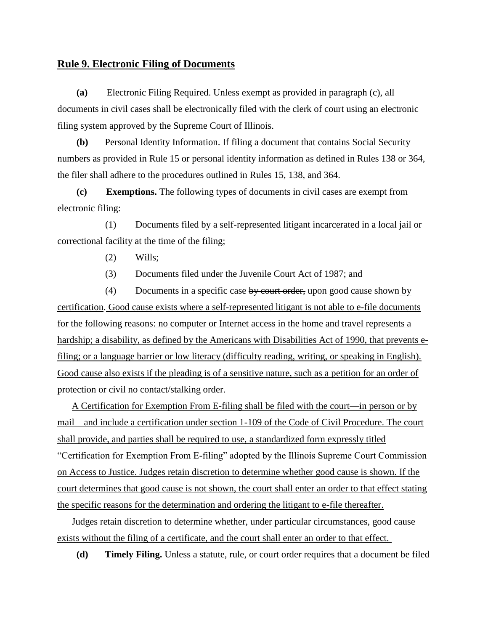## **Rule 9. Electronic Filing of Documents**

 **(a)** Electronic Filing Required. Unless exempt as provided in paragraph (c), all documents in civil cases shall be electronically filed with the clerk of court using an electronic filing system approved by the Supreme Court of Illinois.

 **(b)** Personal Identity Information. If filing a document that contains Social Security numbers as provided in Rule 15 or personal identity information as defined in Rules 138 or 364, the filer shall adhere to the procedures outlined in Rules 15, 138, and 364.

 **(c) Exemptions.** The following types of documents in civil cases are exempt from electronic filing:

 (1) Documents filed by a self-represented litigant incarcerated in a local jail or correctional facility at the time of the filing;

- (2) Wills;
- (3) Documents filed under the Juvenile Court Act of 1987; and

 $(4)$  Documents in a specific case by court order, upon good cause shown by certification. Good cause exists where a self-represented litigant is not able to e-file documents for the following reasons: no computer or Internet access in the home and travel represents a hardship; a disability, as defined by the Americans with Disabilities Act of 1990, that prevents efiling; or a language barrier or low literacy (difficulty reading, writing, or speaking in English). Good cause also exists if the pleading is of a sensitive nature, such as a petition for an order of protection or civil no contact/stalking order.

 A Certification for Exemption From E-filing shall be filed with the court—in person or by mail—and include a certification under section 1-109 of the Code of Civil Procedure. The court shall provide, and parties shall be required to use, a standardized form expressly titled "Certification for Exemption From E-filing" adopted by the Illinois Supreme Court Commission on Access to Justice. Judges retain discretion to determine whether good cause is shown. If the court determines that good cause is not shown, the court shall enter an order to that effect stating the specific reasons for the determination and ordering the litigant to e-file thereafter.

 Judges retain discretion to determine whether, under particular circumstances, good cause exists without the filing of a certificate, and the court shall enter an order to that effect.

**(d) Timely Filing.** Unless a statute, rule, or court order requires that a document be filed